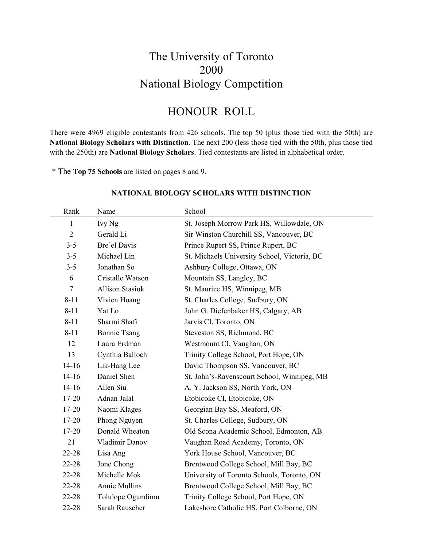### The University of Toronto 2000 National Biology Competition

### HONOUR ROLL

There were 4969 eligible contestants from 426 schools. The top 50 (plus those tied with the 50th) are **National Biology Scholars with Distinction**. The next 200 (less those tied with the 50th, plus those tied with the 250th) are **National Biology Scholars**. Tied contestants are listed in alphabetical order.

\* The **Top 75 Schools** are listed on pages 8 and 9.

| Rank           | Name                   | School                                       |
|----------------|------------------------|----------------------------------------------|
| 1              | Ivy Ng                 | St. Joseph Morrow Park HS, Willowdale, ON    |
| $\overline{2}$ | Gerald Li              | Sir Winston Churchill SS, Vancouver, BC      |
| $3 - 5$        | Bre'el Davis           | Prince Rupert SS, Prince Rupert, BC          |
| $3 - 5$        | Michael Lin            | St. Michaels University School, Victoria, BC |
| $3 - 5$        | Jonathan So            | Ashbury College, Ottawa, ON                  |
| 6              | Cristalle Watson       | Mountain SS, Langley, BC                     |
| $\tau$         | <b>Allison Stasiuk</b> | St. Maurice HS, Winnipeg, MB                 |
| $8 - 11$       | Vivien Hoang           | St. Charles College, Sudbury, ON             |
| $8 - 11$       | Yat Lo                 | John G. Diefenbaker HS, Calgary, AB          |
| $8 - 11$       | Sharmi Shafi           | Jarvis CI, Toronto, ON                       |
| $8 - 11$       | <b>Bonnie Tsang</b>    | Steveston SS, Richmond, BC                   |
| 12             | Laura Erdman           | Westmount CI, Vaughan, ON                    |
| 13             | Cynthia Balloch        | Trinity College School, Port Hope, ON        |
| $14-16$        | Lik-Hang Lee           | David Thompson SS, Vancouver, BC             |
| $14 - 16$      | Daniel Shen            | St. John's-Ravenscourt School, Winnipeg, MB  |
| $14-16$        | Allen Siu              | A. Y. Jackson SS, North York, ON             |
| 17-20          | Adnan Jalal            | Etobicoke CI, Etobicoke, ON                  |
| 17-20          | Naomi Klages           | Georgian Bay SS, Meaford, ON                 |
| 17-20          | Phong Nguyen           | St. Charles College, Sudbury, ON             |
| 17-20          | Donald Wheaton         | Old Scona Academic School, Edmonton, AB      |
| 21             | Vladimir Danov         | Vaughan Road Academy, Toronto, ON            |
| 22-28          | Lisa Ang               | York House School, Vancouver, BC             |
| 22-28          | Jone Chong             | Brentwood College School, Mill Bay, BC       |
| 22-28          | Michelle Mok           | University of Toronto Schools, Toronto, ON   |
| 22-28          | Annie Mullins          | Brentwood College School, Mill Bay, BC       |
| 22-28          | Tolulope Ogundimu      | Trinity College School, Port Hope, ON        |
| 22-28          | Sarah Rauscher         | Lakeshore Catholic HS, Port Colborne, ON     |

#### **NATIONAL BIOLOGY SCHOLARS WITH DISTINCTION**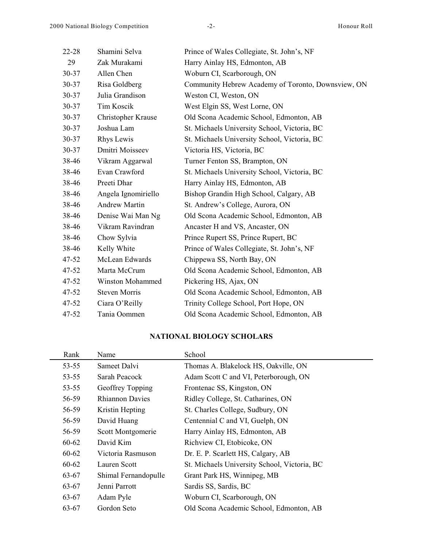| $22 - 28$ | Shamini Selva           | Prince of Wales Collegiate, St. John's, NF         |
|-----------|-------------------------|----------------------------------------------------|
| 29        | Zak Murakami            | Harry Ainlay HS, Edmonton, AB                      |
| 30-37     | Allen Chen              | Woburn CI, Scarborough, ON                         |
| 30-37     | Risa Goldberg           | Community Hebrew Academy of Toronto, Downsview, ON |
| 30-37     | Julia Grandison         | Weston CI, Weston, ON                              |
| 30-37     | Tim Koscik              | West Elgin SS, West Lorne, ON                      |
| 30-37     | Christopher Krause      | Old Scona Academic School, Edmonton, AB            |
| 30-37     | Joshua Lam              | St. Michaels University School, Victoria, BC       |
| 30-37     | Rhys Lewis              | St. Michaels University School, Victoria, BC       |
| 30-37     | Dmitri Moisseev         | Victoria HS, Victoria, BC                          |
| 38-46     | Vikram Aggarwal         | Turner Fenton SS, Brampton, ON                     |
| 38-46     | Evan Crawford           | St. Michaels University School, Victoria, BC       |
| 38-46     | Preeti Dhar             | Harry Ainlay HS, Edmonton, AB                      |
| 38-46     | Angela Ignomiriello     | Bishop Grandin High School, Calgary, AB            |
| 38-46     | <b>Andrew Martin</b>    | St. Andrew's College, Aurora, ON                   |
| 38-46     | Denise Wai Man Ng       | Old Scona Academic School, Edmonton, AB            |
| 38-46     | Vikram Ravindran        | Ancaster H and VS, Ancaster, ON                    |
| 38-46     | Chow Sylvia             | Prince Rupert SS, Prince Rupert, BC                |
| 38-46     | Kelly White             | Prince of Wales Collegiate, St. John's, NF         |
| $47 - 52$ | McLean Edwards          | Chippewa SS, North Bay, ON                         |
| $47 - 52$ | Marta McCrum            | Old Scona Academic School, Edmonton, AB            |
| 47-52     | <b>Winston Mohammed</b> | Pickering HS, Ajax, ON                             |
| $47 - 52$ | <b>Steven Morris</b>    | Old Scona Academic School, Edmonton, AB            |
| $47 - 52$ | Ciara O'Reilly          | Trinity College School, Port Hope, ON              |
| 47-52     | Tania Oommen            | Old Scona Academic School, Edmonton, AB            |

### **NATIONAL BIOLOGY SCHOLARS**

| Rank      | Name                   | School                                       |
|-----------|------------------------|----------------------------------------------|
| 53-55     | Sameet Dalvi           | Thomas A. Blakelock HS, Oakville, ON         |
| $53 - 55$ | Sarah Peacock          | Adam Scott C and VI, Peterborough, ON        |
| 53-55     | Geoffrey Topping       | Frontenac SS, Kingston, ON                   |
| 56-59     | <b>Rhiannon Davies</b> | Ridley College, St. Catharines, ON           |
| 56-59     | Kristin Hepting        | St. Charles College, Sudbury, ON             |
| 56-59     | David Huang            | Centennial C and VI, Guelph, ON              |
| 56-59     | Scott Montgomerie      | Harry Ainlay HS, Edmonton, AB                |
| 60-62     | David Kim              | Richview CI, Etobicoke, ON                   |
| 60-62     | Victoria Rasmuson      | Dr. E. P. Scarlett HS, Calgary, AB           |
| 60-62     | Lauren Scott           | St. Michaels University School, Victoria, BC |
| 63-67     | Shimal Fernandopulle   | Grant Park HS, Winnipeg, MB                  |
| 63-67     | Jenni Parrott          | Sardis SS, Sardis, BC                        |
| 63-67     | Adam Pyle              | Woburn CI, Scarborough, ON                   |
| 63-67     | Gordon Seto            | Old Scona Academic School, Edmonton, AB      |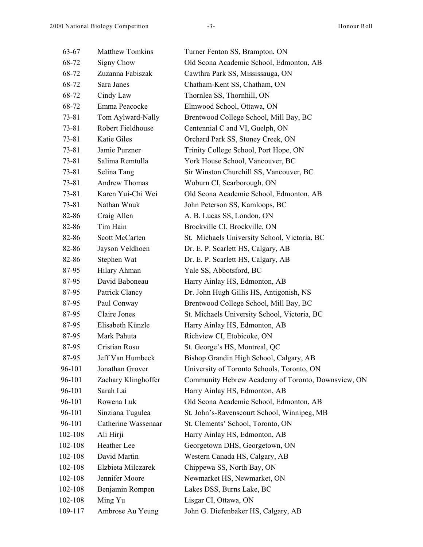| 63-67     | <b>Matthew Tomkins</b> | Turner Fenton SS, Brampton, ON                     |
|-----------|------------------------|----------------------------------------------------|
| 68-72     | Signy Chow             | Old Scona Academic School, Edmonton, AB            |
| 68-72     | Zuzanna Fabiszak       | Cawthra Park SS, Mississauga, ON                   |
| 68-72     | Sara Janes             | Chatham-Kent SS, Chatham, ON                       |
| 68-72     | Cindy Law              | Thornlea SS, Thornhill, ON                         |
| 68-72     | Emma Peacocke          | Elmwood School, Ottawa, ON                         |
| 73-81     | Tom Aylward-Nally      | Brentwood College School, Mill Bay, BC             |
| 73-81     | Robert Fieldhouse      | Centennial C and VI, Guelph, ON                    |
| $73 - 81$ | Katie Giles            | Orchard Park SS, Stoney Creek, ON                  |
| 73-81     | Jamie Purzner          | Trinity College School, Port Hope, ON              |
| 73-81     | Salima Remtulla        | York House School, Vancouver, BC                   |
| 73-81     | Selina Tang            | Sir Winston Churchill SS, Vancouver, BC            |
| 73-81     | Andrew Thomas          | Woburn CI, Scarborough, ON                         |
| 73-81     | Karen Yui-Chi Wei      | Old Scona Academic School, Edmonton, AB            |
| 73-81     | Nathan Wnuk            | John Peterson SS, Kamloops, BC                     |
| 82-86     | Craig Allen            | A. B. Lucas SS, London, ON                         |
| 82-86     | Tim Hain               | Brockville CI, Brockville, ON                      |
| 82-86     | Scott McCarten         | St. Michaels University School, Victoria, BC       |
| 82-86     | Jayson Veldhoen        | Dr. E. P. Scarlett HS, Calgary, AB                 |
| 82-86     | Stephen Wat            | Dr. E. P. Scarlett HS, Calgary, AB                 |
| 87-95     | Hilary Ahman           | Yale SS, Abbotsford, BC                            |
| 87-95     | David Baboneau         | Harry Ainlay HS, Edmonton, AB                      |
| 87-95     | Patrick Clancy         | Dr. John Hugh Gillis HS, Antigonish, NS            |
| 87-95     | Paul Conway            | Brentwood College School, Mill Bay, BC             |
| 87-95     | Claire Jones           | St. Michaels University School, Victoria, BC       |
| 87-95     | Elisabeth Künzle       | Harry Ainlay HS, Edmonton, AB                      |
| 87-95     | Mark Pahuta            | Richview CI, Etobicoke, ON                         |
| 87-95     | Cristian Rosu          | St. George's HS, Montreal, QC                      |
| 87-95     | Jeff Van Humbeck       | Bishop Grandin High School, Calgary, AB            |
| 96-101    | Jonathan Grover        | University of Toronto Schools, Toronto, ON         |
| 96-101    | Zachary Klinghoffer    | Community Hebrew Academy of Toronto, Downsview, ON |
| 96-101    | Sarah Lai              | Harry Ainlay HS, Edmonton, AB                      |
| 96-101    | Rowena Luk             | Old Scona Academic School, Edmonton, AB            |
| 96-101    | Sinziana Tugulea       | St. John's-Ravenscourt School, Winnipeg, MB        |
| 96-101    | Catherine Wassenaar    | St. Clements' School, Toronto, ON                  |
| 102-108   | Ali Hirji              | Harry Ainlay HS, Edmonton, AB                      |
| 102-108   | Heather Lee            | Georgetown DHS, Georgetown, ON                     |
| 102-108   | David Martin           | Western Canada HS, Calgary, AB                     |
| 102-108   | Elzbieta Milczarek     | Chippewa SS, North Bay, ON                         |
| 102-108   | Jennifer Moore         | Newmarket HS, Newmarket, ON                        |
| 102-108   | Benjamin Rompen        | Lakes DSS, Burns Lake, BC                          |
| 102-108   | Ming Yu                | Lisgar CI, Ottawa, ON                              |
| 109-117   | Ambrose Au Yeung       | John G. Diefenbaker HS, Calgary, AB                |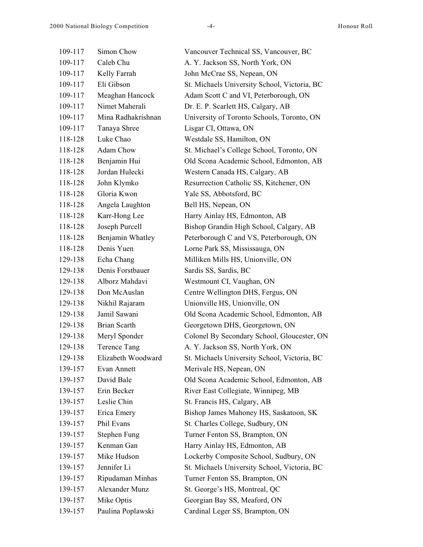| 109-117 | Simon Chow          | Vancouver Technical SS, Vancouver, BC        |
|---------|---------------------|----------------------------------------------|
| 109-117 | Caleb Chu           | A. Y. Jackson SS, North York, ON             |
| 109-117 | Kelly Farrah        | John McCrae SS, Nepean, ON                   |
| 109-117 | Eli Gibson          | St. Michaels University School, Victoria, BC |
| 109-117 | Meaghan Hancock     | Adam Scott C and VI, Peterborough, ON        |
| 109-117 | Nimet Maherali      | Dr. E. P. Scarlett HS, Calgary, AB           |
| 109-117 | Mina Radhakrishnan  | University of Toronto Schools, Toronto, ON   |
| 109-117 | Tanaya Shree        | Lisgar CI, Ottawa, ON                        |
| 118-128 | Luke Chao           | Westdale SS, Hamilton, ON                    |
| 118-128 | <b>Adam Chow</b>    | St. Michael's College School, Toronto, ON    |
| 118-128 | Benjamin Hui        | Old Scona Academic School, Edmonton, AB      |
| 118-128 | Jordan Hulecki      | Western Canada HS, Calgary, AB               |
| 118-128 | John Klymko         | Resurrection Catholic SS, Kitchener, ON      |
| 118-128 | Gloria Kwon         | Yale SS, Abbotsford, BC                      |
| 118-128 | Angela Laughton     | Bell HS, Nepean, ON                          |
| 118-128 | Karr-Hong Lee       | Harry Ainlay HS, Edmonton, AB                |
| 118-128 | Joseph Purcell      | Bishop Grandin High School, Calgary, AB      |
| 118-128 | Benjamin Whatley    | Peterborough C and VS, Peterborough, ON      |
| 118-128 | Denis Yuen          | Lorne Park SS, Mississauga, ON               |
| 129-138 | Echa Chang          | Milliken Mills HS, Unionville, ON            |
| 129-138 | Denis Forstbauer    | Sardis SS, Sardis, BC                        |
| 129-138 | Alborz Mahdavi      | Westmount CI, Vaughan, ON                    |
| 129-138 | Don McAuslan        | Centre Wellington DHS, Fergus, ON            |
| 129-138 | Nikhil Rajaram      | Unionville HS, Unionville, ON                |
| 129-138 | Jamil Sawani        | Old Scona Academic School, Edmonton, AB      |
| 129-138 | Brian Scarth        | Georgetown DHS, Georgetown, ON               |
| 129-138 | Meryl Sponder       | Colonel By Secondary School, Gloucester, ON  |
| 129-138 | <b>Terence Tang</b> | A. Y. Jackson SS, North York, ON             |
| 129-138 | Elizabeth Woodward  | St. Michaels University School, Victoria, BC |
| 139-157 | Evan Annett         | Merivale HS, Nepean, ON                      |
| 139-157 | David Bale          | Old Scona Academic School, Edmonton, AB      |
| 139-157 | Erin Becker         | River East Collegiate, Winnipeg, MB          |
| 139-157 | Leslie Chin         | St. Francis HS, Calgary, AB                  |
| 139-157 | Erica Emery         | Bishop James Mahoney HS, Saskatoon, SK       |
| 139-157 | Phil Evans          | St. Charles College, Sudbury, ON             |
| 139-157 | <b>Stephen Fung</b> | Turner Fenton SS, Brampton, ON               |
| 139-157 | Kenman Gan          | Harry Ainlay HS, Edmonton, AB                |
| 139-157 | Mike Hudson         | Lockerby Composite School, Sudbury, ON       |
| 139-157 | Jennifer Li         | St. Michaels University School, Victoria, BC |
| 139-157 | Ripudaman Minhas    | Turner Fenton SS, Brampton, ON               |
| 139-157 | Alexander Munz      | St. George's HS, Montreal, QC                |
| 139-157 | Mike Optis          | Georgian Bay SS, Meaford, ON                 |
| 139-157 | Paulina Poplawski   | Cardinal Leger SS, Brampton, ON              |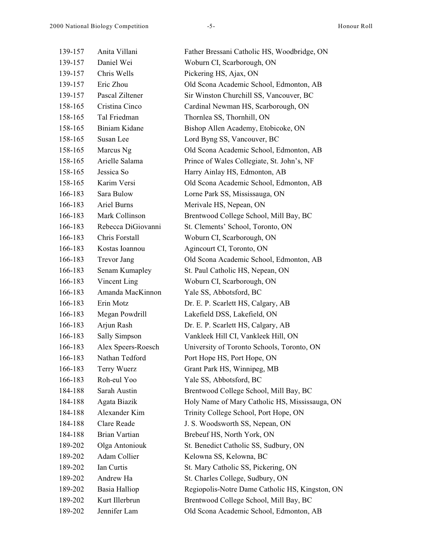| 139-157 | Anita Villani      | Father Bressani Catholic HS, Woodbridge, ON     |
|---------|--------------------|-------------------------------------------------|
| 139-157 | Daniel Wei         | Woburn CI, Scarborough, ON                      |
| 139-157 | Chris Wells        | Pickering HS, Ajax, ON                          |
| 139-157 | Eric Zhou          | Old Scona Academic School, Edmonton, AB         |
| 139-157 | Pascal Ziltener    | Sir Winston Churchill SS, Vancouver, BC         |
| 158-165 | Cristina Cinco     | Cardinal Newman HS, Scarborough, ON             |
| 158-165 | Tal Friedman       | Thornlea SS, Thornhill, ON                      |
| 158-165 | Biniam Kidane      | Bishop Allen Academy, Etobicoke, ON             |
| 158-165 | Susan Lee          | Lord Byng SS, Vancouver, BC                     |
| 158-165 | Marcus Ng          | Old Scona Academic School, Edmonton, AB         |
| 158-165 | Arielle Salama     | Prince of Wales Collegiate, St. John's, NF      |
| 158-165 | Jessica So         | Harry Ainlay HS, Edmonton, AB                   |
| 158-165 | Karim Versi        | Old Scona Academic School, Edmonton, AB         |
| 166-183 | Sara Bulow         | Lorne Park SS, Mississauga, ON                  |
| 166-183 | Ariel Burns        | Merivale HS, Nepean, ON                         |
| 166-183 | Mark Collinson     | Brentwood College School, Mill Bay, BC          |
| 166-183 | Rebecca DiGiovanni | St. Clements' School, Toronto, ON               |
| 166-183 | Chris Forstall     | Woburn CI, Scarborough, ON                      |
| 166-183 | Kostas Ioannou     | Agincourt CI, Toronto, ON                       |
| 166-183 | <b>Trevor Jang</b> | Old Scona Academic School, Edmonton, AB         |
| 166-183 | Senam Kumapley     | St. Paul Catholic HS, Nepean, ON                |
| 166-183 | Vincent Ling       | Woburn CI, Scarborough, ON                      |
| 166-183 | Amanda MacKinnon   | Yale SS, Abbotsford, BC                         |
| 166-183 | Erin Motz          | Dr. E. P. Scarlett HS, Calgary, AB              |
| 166-183 | Megan Powdrill     | Lakefield DSS, Lakefield, ON                    |
| 166-183 | Arjun Rash         | Dr. E. P. Scarlett HS, Calgary, AB              |
| 166-183 | Sally Simpson      | Vankleek Hill CI, Vankleek Hill, ON             |
| 166-183 | Alex Speers-Roesch | University of Toronto Schools, Toronto, ON      |
| 166-183 | Nathan Tedford     | Port Hope HS, Port Hope, ON                     |
| 166-183 | Terry Wuerz        | Grant Park HS, Winnipeg, MB                     |
| 166-183 | Roh-eul Yoo        | Yale SS, Abbotsford, BC                         |
| 184-188 | Sarah Austin       | Brentwood College School, Mill Bay, BC          |
| 184-188 | Agata Biazik       | Holy Name of Mary Catholic HS, Mississauga, ON  |
| 184-188 | Alexander Kim      | Trinity College School, Port Hope, ON           |
| 184-188 | Clare Reade        | J. S. Woodsworth SS, Nepean, ON                 |
| 184-188 | Brian Vartian      | Brebeuf HS, North York, ON                      |
| 189-202 | Olga Antoniouk     | St. Benedict Catholic SS, Sudbury, ON           |
| 189-202 | Adam Collier       | Kelowna SS, Kelowna, BC                         |
| 189-202 | Ian Curtis         | St. Mary Catholic SS, Pickering, ON             |
| 189-202 | Andrew Ha          | St. Charles College, Sudbury, ON                |
| 189-202 | Basia Halliop      | Regiopolis-Notre Dame Catholic HS, Kingston, ON |
| 189-202 | Kurt Illerbrun     | Brentwood College School, Mill Bay, BC          |
| 189-202 | Jennifer Lam       | Old Scona Academic School, Edmonton, AB         |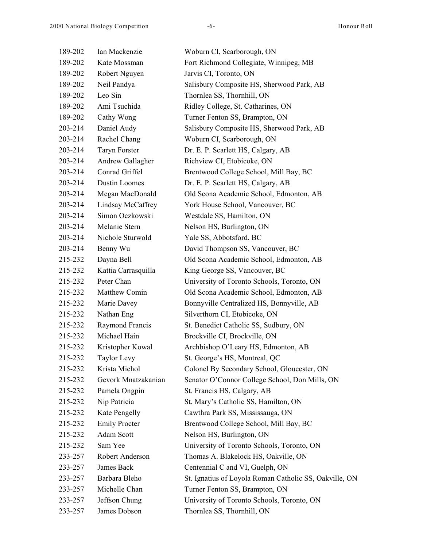| 189-202 | Ian Mackenzie        | Woburn CI, Scarborough, ON                             |
|---------|----------------------|--------------------------------------------------------|
| 189-202 | Kate Mossman         | Fort Richmond Collegiate, Winnipeg, MB                 |
| 189-202 | Robert Nguyen        | Jarvis CI, Toronto, ON                                 |
| 189-202 | Neil Pandya          | Salisbury Composite HS, Sherwood Park, AB              |
| 189-202 | Leo Sin              | Thornlea SS, Thornhill, ON                             |
| 189-202 | Ami Tsuchida         | Ridley College, St. Catharines, ON                     |
| 189-202 | Cathy Wong           | Turner Fenton SS, Brampton, ON                         |
| 203-214 | Daniel Audy          | Salisbury Composite HS, Sherwood Park, AB              |
| 203-214 | Rachel Chang         | Woburn CI, Scarborough, ON                             |
| 203-214 | <b>Taryn Forster</b> | Dr. E. P. Scarlett HS, Calgary, AB                     |
| 203-214 | Andrew Gallagher     | Richview CI, Etobicoke, ON                             |
| 203-214 | Conrad Griffel       | Brentwood College School, Mill Bay, BC                 |
| 203-214 | <b>Dustin Loomes</b> | Dr. E. P. Scarlett HS, Calgary, AB                     |
| 203-214 | Megan MacDonald      | Old Scona Academic School, Edmonton, AB                |
| 203-214 | Lindsay McCaffrey    | York House School, Vancouver, BC                       |
| 203-214 | Simon Oczkowski      | Westdale SS, Hamilton, ON                              |
| 203-214 | Melanie Stern        | Nelson HS, Burlington, ON                              |
| 203-214 | Nichole Sturwold     | Yale SS, Abbotsford, BC                                |
| 203-214 | Benny Wu             | David Thompson SS, Vancouver, BC                       |
| 215-232 | Dayna Bell           | Old Scona Academic School, Edmonton, AB                |
| 215-232 | Kattia Carrasquilla  | King George SS, Vancouver, BC                          |
| 215-232 | Peter Chan           | University of Toronto Schools, Toronto, ON             |
| 215-232 | Matthew Comin        | Old Scona Academic School, Edmonton, AB                |
| 215-232 | Marie Davey          | Bonnyville Centralized HS, Bonnyville, AB              |
| 215-232 | Nathan Eng           | Silverthorn CI, Etobicoke, ON                          |
| 215-232 | Raymond Francis      | St. Benedict Catholic SS, Sudbury, ON                  |
| 215-232 | Michael Hain         | Brockville CI, Brockville, ON                          |
| 215-232 | Kristopher Kowal     | Archbishop O'Leary HS, Edmonton, AB                    |
| 215-232 | <b>Taylor Levy</b>   | St. George's HS, Montreal, QC                          |
| 215-232 | Krista Michol        | Colonel By Secondary School, Gloucester, ON            |
| 215-232 | Gevork Mnatzakanian  | Senator O'Connor College School, Don Mills, ON         |
| 215-232 | Pamela Ongpin        | St. Francis HS, Calgary, AB                            |
| 215-232 | Nip Patricia         | St. Mary's Catholic SS, Hamilton, ON                   |
| 215-232 | Kate Pengelly        | Cawthra Park SS, Mississauga, ON                       |
| 215-232 | <b>Emily Procter</b> | Brentwood College School, Mill Bay, BC                 |
| 215-232 | Adam Scott           | Nelson HS, Burlington, ON                              |
| 215-232 | Sam Yee              | University of Toronto Schools, Toronto, ON             |
| 233-257 | Robert Anderson      | Thomas A. Blakelock HS, Oakville, ON                   |
| 233-257 | James Back           | Centennial C and VI, Guelph, ON                        |
| 233-257 | Barbara Bleho        | St. Ignatius of Loyola Roman Catholic SS, Oakville, ON |
| 233-257 | Michelle Chan        | Turner Fenton SS, Brampton, ON                         |
| 233-257 | Jeffson Chung        | University of Toronto Schools, Toronto, ON             |
| 233-257 | James Dobson         | Thornlea SS, Thornhill, ON                             |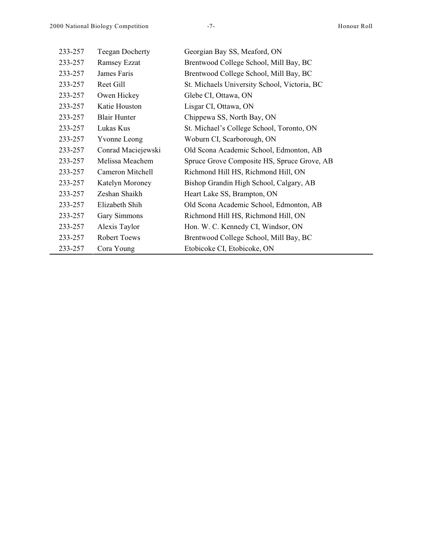| 233-257 | <b>Teegan Docherty</b> | Georgian Bay SS, Meaford, ON                 |
|---------|------------------------|----------------------------------------------|
| 233-257 | <b>Ramsey Ezzat</b>    | Brentwood College School, Mill Bay, BC       |
| 233-257 | James Faris            | Brentwood College School, Mill Bay, BC       |
| 233-257 | Reet Gill              | St. Michaels University School, Victoria, BC |
| 233-257 | Owen Hickey            | Glebe CI, Ottawa, ON                         |
| 233-257 | Katie Houston          | Lisgar CI, Ottawa, ON                        |
| 233-257 | <b>Blair Hunter</b>    | Chippewa SS, North Bay, ON                   |
| 233-257 | Lukas Kus              | St. Michael's College School, Toronto, ON    |
| 233-257 | <b>Yvonne Leong</b>    | Woburn CI, Scarborough, ON                   |
| 233-257 | Conrad Maciejewski     | Old Scona Academic School, Edmonton, AB      |
| 233-257 | Melissa Meachem        | Spruce Grove Composite HS, Spruce Grove, AB  |
| 233-257 | Cameron Mitchell       | Richmond Hill HS, Richmond Hill, ON          |
| 233-257 | Katelyn Moroney        | Bishop Grandin High School, Calgary, AB      |
| 233-257 | Zeshan Shaikh          | Heart Lake SS, Brampton, ON                  |
| 233-257 | Elizabeth Shih         | Old Scona Academic School, Edmonton, AB      |
| 233-257 | Gary Simmons           | Richmond Hill HS, Richmond Hill, ON          |
| 233-257 | Alexis Taylor          | Hon. W. C. Kennedy CI, Windsor, ON           |
| 233-257 | Robert Toews           | Brentwood College School, Mill Bay, BC       |
| 233-257 | Cora Young             | Etobicoke CI, Etobicoke, ON                  |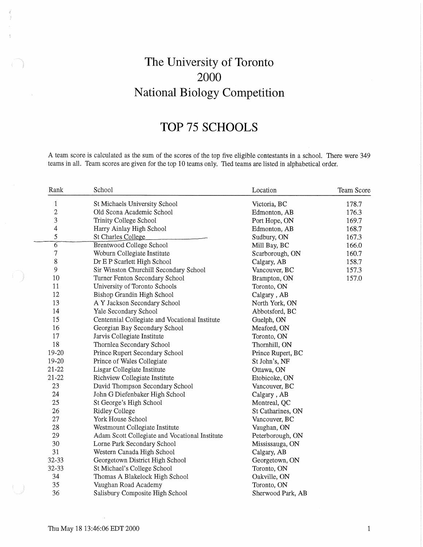# The University of Toronto 2000 National Biology Competition

## TOP 75 SCHOOLS

A team score is calculated as the sum of the scores of the top five eligible contestants in a school. There were 349 teams in all. Team scores are given for the top 10 teams only. Tied teams are listed in alphabetical order.

| Rank           | School                                         | Location          | Team Score |
|----------------|------------------------------------------------|-------------------|------------|
| $\mathbf{1}$   | St Michaels University School                  | Victoria, BC      | 178.7      |
| $\overline{c}$ | Old Scona Academic School                      | Edmonton, AB      | 176.3      |
| 3              | Trinity College School                         | Port Hope, ON     | 169.7      |
| 4              | Harry Ainlay High School                       | Edmonton, AB      | 168.7      |
| 5              | St Charles College                             | Sudbury, ON       | 167.3      |
| 6              | Brentwood College School                       | Mill Bay, BC      | 166.0      |
| 7              | Woburn Collegiate Institute                    | Scarborough, ON   | 160.7      |
| 8              | Dr E P Scarlett High School                    | Calgary, AB       | 158.7      |
| 9              | Sir Winston Churchill Secondary School         | Vancouver, BC     | 157.3      |
| 10             | Turner Fenton Secondary School                 | Brampton, ON      | 157.0      |
| 11             | University of Toronto Schools                  | Toronto, ON       |            |
| 12             | Bishop Grandin High School                     | Calgary, AB       |            |
| 13             | A Y Jackson Secondary School                   | North York, ON    |            |
| 14             | Yale Secondary School                          | Abbotsford, BC    |            |
| 15             | Centennial Collegiate and Vocational Institute | Guelph, ON        |            |
| 16             | Georgian Bay Secondary School                  | Meaford, ON       |            |
| 17             | Jarvis Collegiate Institute                    | Toronto, ON       |            |
| 18             | Thornlea Secondary School                      | Thornhill, ON     |            |
| 19-20          | Prince Rupert Secondary School                 | Prince Rupert, BC |            |
| 19-20          | Prince of Wales Collegiate                     | St John's, NF     |            |
| $21 - 22$      | Lisgar Collegiate Institute                    | Ottawa, ON        |            |
| $21 - 22$      | Richview Collegiate Institute                  | Etobicoke, ON     |            |
| 23             | David Thompson Secondary School                | Vancouver, BC     |            |
| 24             | John G Diefenbaker High School                 | Calgary, AB       |            |
| 25             | St George's High School                        | Montreal, QC      |            |
| 26             | <b>Ridley College</b>                          | St Catharines, ON |            |
| 27             | York House School                              | Vancouver, BC     |            |
| 28             | Westmount Collegiate Institute                 | Vaughan, ON       |            |
| 29             | Adam Scott Collegiate and Vocational Institute | Peterborough, ON  |            |
| 30             | Lorne Park Secondary School                    | Mississauga, ON   |            |
| 31             | Western Canada High School                     | Calgary, AB       |            |
| 32-33          | Georgetown District High School                | Georgetown, ON    |            |
| 32-33          | St Michael's College School                    | Toronto, ON       |            |
| 34             | Thomas A Blakelock High School                 | Oakville, ON      |            |
| 35             | Vaughan Road Academy                           | Toronto, ON       |            |
| 36             | Salisbury Composite High School                | Sherwood Park, AB |            |

 $\,1\,$ 

Thu May 18 13:46:06 EDT 2000

 $\overline{\phantom{a}}$